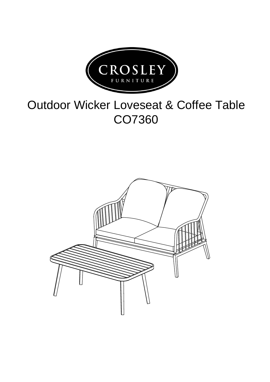

## Outdoor Wicker Loveseat & Coffee Table CO7360

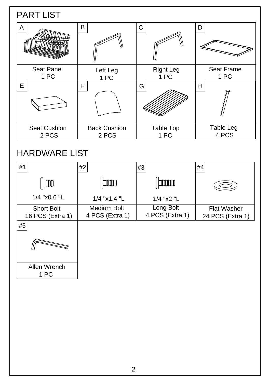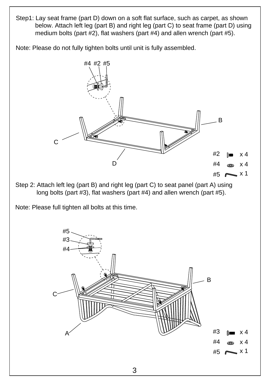Step1: Lay seat frame (part D) down on a soft flat surface, such as carpet, as shown below. Attach left leg (part B) and right leg (part C) to seat frame (part D) using medium bolts (part #2), flat washers (part #4) and allen wrench (part #5).

Note: Please do not fully tighten bolts until unit is fully assembled.



long bolts (part #3), flat washers (part #4) and allen wrench (part #5).

Note: Please full tighten all bolts at this time.

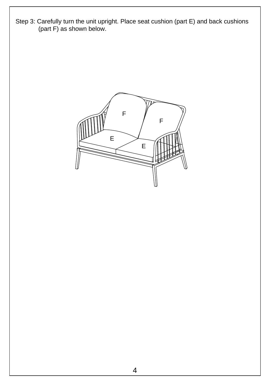